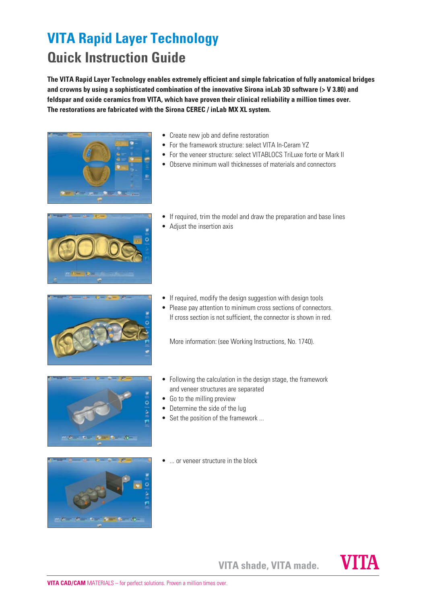## **VITA Rapid Layer Technology Quick Instruction Guide**

**The VITA Rapid Layer Technology enables extremely efficient and simple fabrication of fully anatomical bridges and crowns by using a sophisticated combination of the innovative Sirona inLab 3D software (> V 3.80) and feldspar and oxide ceramics from VITA, which have proven their clinical reliability a million times over. The restorations are fabricated with the Sirona CEREC / inLab MX XL system.**



- Create new job and define restoration
- For the framework structure: select VITA In-Ceram YZ
- For the veneer structure: select VITABLOCS Tril uxe forte or Mark II
- Observe minimum wall thicknesses of materials and connectors



- If required, trim the model and draw the preparation and base lines
- Adjust the insertion axis



- If required, modify the design suggestion with design tools
- Please pay attention to minimum cross sections of connectors. If cross section is not sufficient, the connector is shown in red.

More information: (see Working Instructions, No. 1740).



- Following the calculation in the design stage, the framework and veneer structures are separated
- Go to the milling preview
- Determine the side of the lug
- Set the position of the framework ...



• ... or veneer structure in the block